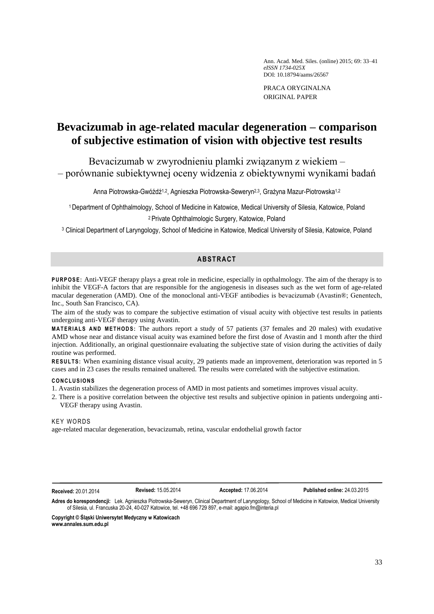Ann. Acad. Med. Siles. (online) 2015; 69: 33–41 *eISSN 1734-025X* DOI: 10.18794/aams/26567

PRACA ORYGINALNA ORIGINAL PAPER

# **Bevacizumab in age-related macular degeneration – comparison of subjective estimation of vision with objective test results**

Bevacizumab w zwyrodnieniu plamki związanym z wiekiem – – porównanie subiektywnej oceny widzenia z obiektywnymi wynikami badań

Anna Piotrowska-Gwóźdź<sup>1,2</sup>, Agnieszka Piotrowska-Seweryn<sup>2,3</sup>, Grażyna Mazur-Piotrowska<sup>1,2</sup>

<sup>1</sup> Department of Ophthalmology, School of Medicine in Katowice, Medical University of Silesia, Katowice, Poland <sup>2</sup> Private Ophthalmologic Surgery, Katowice, Poland

<sup>3</sup> Clinical Department of Laryngology, School of Medicine in Katowice, Medical University of Silesia, Katowice, Poland

## **AB STR ACT**

**PURPOSE:** Anti-VEGF therapy plays a great role in medicine, especially in opthalmology. The aim of the therapy is to inhibit the VEGF-A factors that are responsible for the angiogenesis in diseases such as the wet form of age-related macular degeneration (AMD). One of the monoclonal anti-VEGF antibodies is bevacizumab (Avastin®; Genentech, Inc., South San Francisco, CA).

The aim of the study was to compare the subjective estimation of visual acuity with objective test results in patients undergoing anti-VEGF therapy using Avastin.

**MATERIALS AND METHODS:** The authors report a study of 57 patients (37 females and 20 males) with exudative AMD whose near and distance visual acuity was examined before the first dose of Avastin and 1 month after the third injection. Additionally, an original questionnaire evaluating the subjective state of vision during the activities of daily routine was performed.

**RESULTS:** When examining distance visual acuity, 29 patients made an improvement, deterioration was reported in 5 cases and in 23 cases the results remained unaltered. The results were correlated with the subjective estimation.

### **C O N C L U S I O N S**

- 1. Avastin stabilizes the degeneration process of AMD in most patients and sometimes improves visual acuity.
- 2. There is a positive correlation between the objective test results and subjective opinion in patients undergoing anti-VEGF therapy using Avastin.

## **KEY WORDS**

age-related macular degeneration, bevacizumab, retina, vascular endothelial growth factor

**Received:** 20.01.2014 **Revised:** 15.05.2014 **Accepted:** 17.06.2014 **Published online:** 24.03.2015

**Adres do korespondencji:** Lek. Agnieszka Piotrowska-Seweryn, Clinical Department of Laryngology, School of Medicine in Katowice, Medical University of Silesia, ul. Francuska 20-24, 40-027 Katowice, tel. +48 696 729 897, e-mail[: agapio.fm@interia.pl](mailto:agapio.fm@interia.pl)

**Copyright © Śląski Uniwersytet Medyczny w Katowicach www.annales.sum.edu.pl**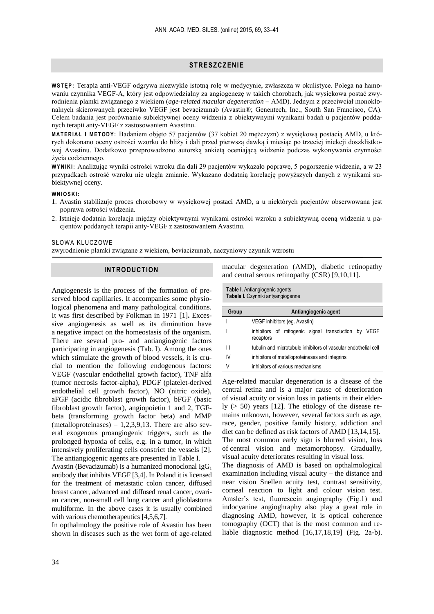## **STR E SZCZ ENI E**

**W S T Ę P :** Terapia anti-VEGF odgrywa niezwykle istotną rolę w medycynie, zwłaszcza w okulistyce. Polega na hamowaniu czynnika VEGF-A, który jest odpowiedzialny za angiogenezę w takich chorobach, jak wysiękowa postać zwyrodnienia plamki związanego z wiekiem (*age-related macular degeneration* – AMD). Jednym z przeciwciał monoklonalnych skierowanych przeciwko VEGF jest bevacizumab (Avastin®; Genentech, Inc., South San Francisco, CA). Celem badania jest porównanie subiektywnej oceny widzenia z obiektywnymi wynikami badań u pacjentów poddanych terapii anty-VEGF z zastosowaniem Avastinu.

**M A T E R I A Ł I M E T OD Y :** Badaniem objęto 57 pacjentów (37 kobiet 20 mężczyzn) z wysiękową postacią AMD, u których dokonano oceny ostrości wzorku do bliży i dali przed pierwszą dawką i miesiąc po trzeciej iniekcji doszklistkowej Avastinu. Dodatkowo przeprowadzono autorską ankietą oceniającą widzenie podczas wykonywania czynności życia codziennego.

**W Y N I K I :** Analizując wyniki ostrości wzroku dla dali 29 pacjentów wykazało poprawę, 5 pogorszenie widzenia, a w 23 przypadkach ostrość wzroku nie uległa zmianie. Wykazano dodatnią korelację powyższych danych z wynikami subiektywnej oceny.

#### **W N I O S K I:**

- 1. Avastin stabilizuje proces chorobowy w wysiękowej postaci AMD, a u niektórych pacjentów obserwowana jest poprawa ostrości widzenia.
- 2. Istnieje dodatnia korelacja między obiektywnymi wynikami ostrości wzroku a subiektywną oceną widzenia u pacjentów poddanych terapii anty-VEGF z zastosowaniem Avastinu.

SŁOWA KLUCZOWE

zwyrodnienie plamki związane z wiekiem, beviacizumab, naczyniowy czynnik wzrostu

#### **INTRODUCTION**

Angiogenesis is the process of the formation of preserved blood capillaries. It accompanies some physiological phenomena and many pathological conditions. It was first described by Folkman in 1971 [1]**.** Excessive angiogenesis as well as its diminution have a negative impact on the homeostasis of the organism. There are several pro- and antiangiogenic factors participating in angiogenesis (Tab. I). Among the ones which stimulate the growth of blood vessels, it is crucial to mention the following endogenous factors: VEGF (vascular endothelial growth factor), TNF alfa (tumor necrosis factor-alpha), PDGF (platelet-derived endothelial cell growth factor), NO (nitric oxide), aFGF (acidic fibroblast growth factor), bFGF (basic fibroblast growth factor), angiopoietin 1 and 2, TGFbeta (transforming growth factor beta) and MMP (metalloproteinases)  $-1,2,3,9,13$ . There are also several exogenous proangiogenic triggers, such as the prolonged hypoxia of cells, e.g. in a tumor, in which intensively proliferating cells constrict the vessels [2]. The antiangiogenic agents are presented in Table I.

Avastin (Bevacizumab) is a humanized monoclonal  $IgG<sub>1</sub>$ antibody that inhibits VEGF [3,4]. In Poland it is licensed for the treatment of metastatic colon cancer, diffused breast cancer, advanced and diffused renal cancer, ovarian cancer, non-small cell lung cancer and glioblastoma multiforme. In the above cases it is usually combined with various chemotherapeutics [4,5,6,7].

In opthalmology the positive role of Avastin has been shown in diseases such as the wet form of age-related macular degeneration (AMD), diabetic retinopathy and central serous retinopathy (CSR) [9,10,11].

**Table I.** Antiangiogenic agents **Tabela I.** Czynniki antyangiogenne

| Group | Antiangiogenic agent                                             |  |  |  |  |  |  |  |
|-------|------------------------------------------------------------------|--|--|--|--|--|--|--|
|       | VEGF inhibitors (eq. Avastin)                                    |  |  |  |  |  |  |  |
| Ш     | inhibitors of mitogenic signal transduction by VEGF<br>receptors |  |  |  |  |  |  |  |
| Ш     | tubulin and microtubule inhibitors of vascular endothelial cell  |  |  |  |  |  |  |  |
| IV    | inhibitors of metalloproteinases and integrins                   |  |  |  |  |  |  |  |
| V     | inhibitors of various mechanisms                                 |  |  |  |  |  |  |  |

Age-related macular degeneration is a disease of the central retina and is a major cause of deterioration of visual acuity or vision loss in patients in their elderly  $(> 50)$  years [12]. The etiology of the disease remains unknown, however, several factors such as age, race, gender, positive family history, addiction and diet can be defined as risk factors of AMD [13,14,15]. The most common early sign is blurred vision, loss of central vision and metamorphopsy. Gradually, visual acuity deteriorates resulting in visual loss.

The diagnosis of AMD is based on opthalmological examination including visual acuity – the distance and near vision Snellen acuity test, contrast sensitivity, corneal reaction to light and colour vision test. Amsler's test, fluorescein angiography (Fig.1) and indocyanine angioghraphy also play a great role in diagnosing AMD, however, it is optical coherence tomography (OCT) that is the most common and reliable diagnostic method [16,17,18,19] (Fig. 2a-b).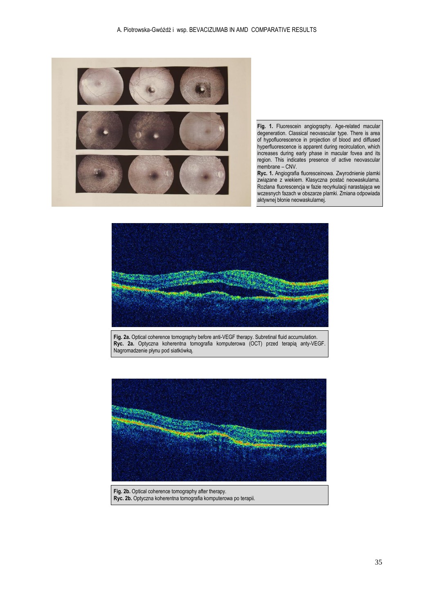

**Fig. 1.** Fluorescein angiography. Age-related macular degeneration. Classical neovascular type. There is area of hypofluorescence in projection of blood and diffused hyperfluorescence is apparent during recirculation, which increases during early phase in macular fovea and its region. This indicates presence of active neovascular membrane – CNV.

**Ryc. 1.** Angiografia fluoresceinowa. Zwyrodnienie plamki związane z wiekiem. Klasyczna postać neowaskularna. Rozlana fluorescencja w fazie recyrkulacji narastająca we wczesnych fazach w obszarze plamki. Zmiana odpowiada aktywnej błonie neowaskularnej.



**Fig. 2a.** Optical coherence tomography before anti-VEGF therapy. Subretinal fluid accumulation. **Ryc. 2a.** Optyczna koherentna tomografia komputerowa (OCT) przed terapią anty-VEGF. Nagromadzenie płynu pod siatkówką.



**Fig. 2b.** Optical coherence tomography after therapy. **Ryc. 2b.** Optyczna koherentna tomografia komputerowa po terapii.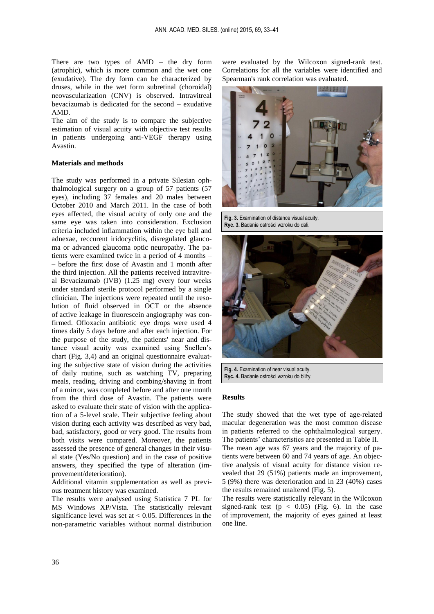There are two types of AMD – the dry form (atrophic), which is more common and the wet one (exudative). The dry form can be characterized by druses, while in the wet form subretinal (choroidal) neovascularization (CNV) is observed. Intravitreal bevacizumab is dedicated for the second – exudative AMD.

The aim of the study is to compare the subjective estimation of visual acuity with objective test results in patients undergoing anti-VEGF therapy using Avastin.

### **Materials and methods**

The study was performed in a private Silesian ophthalmological surgery on a group of 57 patients (57 eyes), including 37 females and 20 males between October 2010 and March 2011. In the case of both eyes affected, the visual acuity of only one and the same eye was taken into consideration. Exclusion criteria included inflammation within the eye ball and adnexae, reccurent iridocyclitis, disregulated glaucoma or advanced glaucoma optic neuropathy. The patients were examined twice in a period of 4 months – – before the first dose of Avastin and 1 month after the third injection. All the patients received intravitreal Bevacizumab (IVB) (1.25 mg) every four weeks under standard sterile protocol performed by a single clinician. The injections were repeated until the resolution of fluid observed in OCT or the absence of active leakage in fluorescein angiography was confirmed. Ofloxacin antibiotic eye drops were used 4 times daily 5 days before and after each injection. For the purpose of the study, the patients' near and distance visual acuity was examined using Snellen's chart (Fig. 3,4) and an original questionnaire evaluating the subjective state of vision during the activities of daily routine, such as watching TV, preparing meals, reading, driving and combing/shaving in front of a mirror, was completed before and after one month from the third dose of Avastin. The patients were asked to evaluate their state of vision with the application of a 5-level scale. Their subjective feeling about vision during each activity was described as very bad, bad, satisfactory, good or very good. The results from both visits were compared. Moreover, the patients assessed the presence of general changes in their visual state (Yes/No question) and in the case of positive answers, they specified the type of alteration (improvement/deterioration).

Additional vitamin supplementation as well as previous treatment history was examined.

The results were analysed using Statistica 7 PL for MS Windows XP/Vista. The statistically relevant significance level was set at  $< 0.05$ . Differences in the non-parametric variables without normal distribution were evaluated by the Wilcoxon signed-rank test. Correlations for all the variables were identified and Spearman's rank correlation was evaluated.



**Fig. 3.** Examination of distance visual acuity. **Ryc. 3.** Badanie ostrości wzroku do dali.



**Fig. 4.** Examination of near visual acuity. **Ryc. 4.** Badanie ostrości wzroku do bliży.

#### **Results**

The study showed that the wet type of age-related macular degeneration was the most common disease in patients referred to the ophthalmological surgery. The patients' characteristics are presented in Table II. The mean age was 67 years and the majority of patients were between 60 and 74 years of age. An objective analysis of visual acuity for distance vision revealed that 29 (51%) patients made an improvement, 5 (9%) there was deterioration and in 23 (40%) cases the results remained unaltered (Fig. 5).

The results were statistically relevant in the Wilcoxon signed-rank test  $(p < 0.05)$  (Fig. 6). In the case of improvement, the majority of eyes gained at least one line.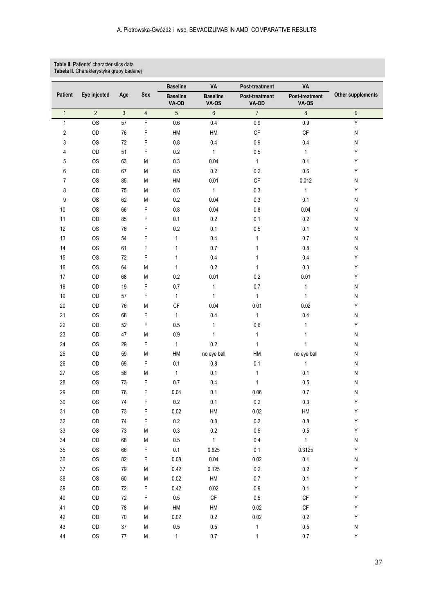#### **Table II.** Patients' characteristics data **Tabela II.** Charakterystyka grupy badanej

|                         |                |                |                | <b>Baseline</b><br>VA    |                                 | Post-treatment          | VA                      |                   |
|-------------------------|----------------|----------------|----------------|--------------------------|---------------------------------|-------------------------|-------------------------|-------------------|
| <b>Patient</b>          | Eye injected   | Age            | Sex            | <b>Baseline</b><br>VA-OD | <b>Baseline</b><br><b>VA-0S</b> | Post-treatment<br>VA-OD | Post-treatment<br>VA-OS | Other supplements |
| $\mathbf{1}$            | $\overline{2}$ | $\mathfrak{Z}$ | $\overline{4}$ | $\overline{5}$           | $\,6\,$                         | $\overline{7}$          | $\boldsymbol{8}$        | $\boldsymbol{9}$  |
| 1                       | <b>OS</b>      | 57             | F              | $0.6\,$                  | $0.4\,$                         | 0.9                     | $0.9\,$                 | Υ                 |
| $\overline{\mathbf{c}}$ | OD             | 76             | F              | HM                       | ${\sf HM}$                      | CF                      | CF                      | ${\sf N}$         |
| 3                       | <b>OS</b>      | $72\,$         | F              | $0.8\,$                  | 0.4                             | 0.9                     | $0.4\,$                 | ${\sf N}$         |
| 4                       | OD             | 51             | F              | 0.2                      | $\mathbf{1}$                    | $0.5\,$                 | $\mathbf{1}$            | Υ                 |
| 5                       | <b>OS</b>      | 63             | M              | $0.3\,$                  | 0.04                            | $\mathbf{1}$            | 0.1                     | Υ                 |
| 6                       | OD             | 67             | М              | 0.5                      | 0.2                             | 0.2                     | $0.6\,$                 | Υ                 |
| 7                       | <b>OS</b>      | 85             | М              | HM                       | 0.01                            | $\mathsf{CF}$           | 0.012                   | ${\sf N}$         |
| 8                       | OD             | 75             | М              | $0.5\,$                  | $\mathbf{1}$                    | $0.3\,$                 | $\mathbf{1}$            | Υ                 |
| 9                       | <b>OS</b>      | 62             | M              | 0.2                      | 0.04                            | $0.3\,$                 | 0.1                     | N                 |
| 10                      | <b>OS</b>      | 66             | F              | $0.8\,$                  | 0.04                            | 0.8                     | 0.04                    | N                 |
| 11                      | OD             | 85             | F              | 0.1                      | $0.2\,$                         | 0.1                     | 0.2                     | N                 |
| 12                      | <b>OS</b>      | 76             | F              | 0.2                      | 0.1                             | 0.5                     | 0.1                     | N                 |
| 13                      | <b>OS</b>      | 54             | F              | 1                        | $0.4\,$                         | 1                       | $0.7\,$                 | N                 |
| 14                      | <b>OS</b>      | 61             | F              | 1                        | 0.7                             | 1                       | $0.8\,$                 | ${\sf N}$         |
| 15                      | <b>OS</b>      | $72\,$         | F              | 1                        | $0.4\,$                         | 1                       | $0.4\,$                 | Υ                 |
| 16                      | <b>OS</b>      | 64             | M              | 1                        | $0.2\,$                         | 1                       | 0.3                     | Υ                 |
| 17                      | OD             | 68             | М              | $0.2\,$                  | 0.01                            | 0.2                     | 0.01                    | Υ                 |
| 18                      | OD             | 19             | F              | 0.7                      | 1                               | 0.7                     | $\mathbf{1}$            | ${\sf N}$         |
| 19                      | OD             | 57             | F              | $\mathbf{1}$             | $\mathbf{1}$                    | $\mathbf{1}$            | $\mathbf{1}$            | ${\sf N}$         |
| $20\,$                  | OD             | 76             | M              | $\mathsf{C}\mathsf{F}$   | 0.04                            | 0.01                    | 0.02                    | Υ                 |
| 21                      | <b>OS</b>      | 68             | F              | $\mathbf{1}$             | 0.4                             | $\mathbf{1}$            | $0.4\,$                 | N                 |
| 22                      | OD             | 52             | F              | 0.5                      | 1                               | 0,6                     | $\mathbf{1}$            | Υ                 |
| 23                      | OD             | 47             | M              | $0.9\,$                  | $\mathbf{1}$                    | 1                       | 1                       | N                 |
| 24                      | <b>OS</b>      | 29             | F              | $\mathbf{1}$             | 0.2                             | 1                       | $\mathbf{1}$            | N                 |
| 25                      | OD             | 59             | М              | HM                       | no eye ball                     | HM                      | no eye ball             | N                 |
| 26                      | OD             | 69             | F              | 0.1                      | $0.8\,$                         | 0.1                     | 1                       | N                 |
| $27\,$                  | <b>OS</b>      | 56             | М              | $\mathbf{1}$             | 0.1                             | 1                       | 0.1                     | ${\sf N}$         |
| 28                      | <b>OS</b>      | 73             | F              | 0.7                      | $0.4\,$                         | $\mathbf{1}$            | $0.5\,$                 | ${\sf N}$         |
| 29                      | OD             | 76             | F              | 0.04                     | 0.1                             | 0.06                    | 0.7                     | N                 |
| 30                      | <b>OS</b>      | 74             | F              | 0.2                      | 0.1                             | 0.2                     | 0.3                     | Υ                 |
| 31                      | OD             | 73             | F              | 0.02                     | ${\sf HM}$                      | 0.02                    | ${\sf HM}$              | Y                 |
| 32                      | OD             | $74$           | F              | $0.2\,$                  | $0.8\,$                         | $0.2\,$                 | $0.8\,$                 | Y                 |
| 33                      | <b>OS</b>      | 73             | M              | $0.3\,$                  | $0.2\,$                         | 0.5                     | $0.5\,$                 | Υ                 |
| 34                      | $\mathsf{OD}$  | 68             | М              | 0.5                      | $\mathbf{1}$                    | 0.4                     | $\mathbf{1}$            | N                 |
| 35                      | <b>OS</b>      | 66             | F              | $0.1\,$                  | 0.625                           | $0.1\,$                 | 0.3125                  | Υ                 |
| 36                      | <b>OS</b>      | 82             | F              | 0.08                     | $0.04\,$                        | 0.02                    | $0.1\,$                 | N                 |
| $37\,$                  | <b>OS</b>      | 79             | M              | 0.42                     | 0.125                           | $0.2\,$                 | $0.2\,$                 | Υ                 |
| 38                      | <b>OS</b>      | 60             | Μ              | 0.02                     | ${\sf HM}$                      | $0.7\,$                 | 0.1                     | Υ                 |
| 39                      | $\mathsf{OD}$  | $72\,$         | F              | 0.42                     | 0.02                            | $0.9\,$                 | $0.1\,$                 | Υ                 |
| 40                      | $\mathsf{OD}$  | $72\,$         | F              | $0.5\,$                  | $\mathsf{CF}$                   | $0.5\,$                 | $\mathsf{CF}$           | Υ                 |
| 41                      | OD             | 78             | M              | HM                       | ${\sf HM}$                      | 0.02                    | $\mathsf{CF}$           | Υ                 |
| 42                      | $\mathsf{OD}$  | $70\,$         | M              | 0.02                     | $0.2\,$                         | 0.02                    | $0.2\,$                 | Υ                 |
| 43                      | $\mathsf{OD}$  | $37\,$         | Μ              | $0.5\,$                  | $0.5\,$                         | 1                       | $0.5\,$                 | N                 |
| 44                      | <b>OS</b>      | $77\,$         | ${\sf M}$      | $\mathbf{1}$             | $0.7\,$                         | 1                       | $0.7\,$                 | Υ                 |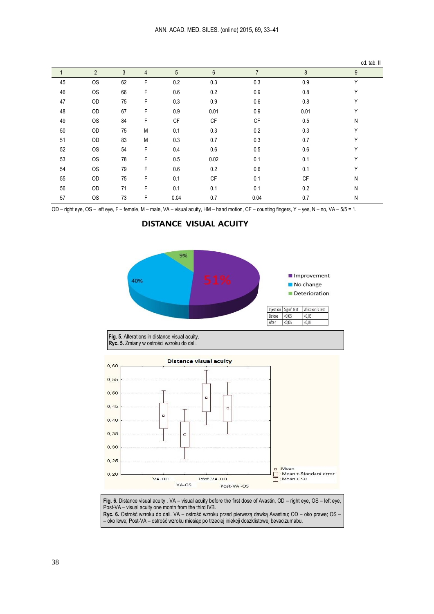|    |                |    |                |                 |                |                |         | cd. tab. II |
|----|----------------|----|----------------|-----------------|----------------|----------------|---------|-------------|
|    | $\overline{2}$ | 3  | $\overline{4}$ | $5\overline{)}$ | $6\phantom{1}$ | $\overline{7}$ | 8       | 9           |
| 45 | OS             | 62 | F              | $0.2\,$         | 0.3            | 0.3            | $0.9\,$ | Y           |
| 46 | <b>OS</b>      | 66 | F              | 0.6             | 0.2            | 0.9            | 0.8     | Υ           |
| 47 | OD             | 75 | F              | 0.3             | 0.9            | 0.6            | 0.8     | Υ           |
| 48 | OD             | 67 | F              | 0.9             | 0.01           | 0.9            | 0.01    | Υ           |
| 49 | <b>OS</b>      | 84 | F              | CF              | <b>CF</b>      | CF             | 0.5     | N           |
| 50 | OD             | 75 | M              | 0.1             | 0.3            | 0.2            | 0.3     | Υ           |
| 51 | OD             | 83 | M              | 0.3             | 0.7            | 0.3            | 0.7     | Υ           |
| 52 | <b>OS</b>      | 54 | F              | 0.4             | 0.6            | 0.5            | 0.6     | Υ           |
| 53 | <b>OS</b>      | 78 | F              | 0.5             | 0.02           | 0.1            | 0.1     | Υ           |
| 54 | <b>OS</b>      | 79 | F              | 0.6             | 0.2            | 0.6            | 0.1     | Υ           |
| 55 | OD             | 75 | F              | 0.1             | СF             | 0.1            | СF      | N           |
| 56 | OD             | 71 | F              | 0.1             | 0.1            | 0.1            | 0.2     | N           |
| 57 | <b>OS</b>      | 73 | F              | 0.04            | 0.7            | 0.04           | 0.7     | N           |

OD – right eye, OS – left eye, F – female, M – male, VA – visual acuity, HM – hand motion, CF – counting fingers, Y – yes, N – no, VA – 5/5 = 1.

**DISTANCE VISUAL ACUITY** 



**Ryc. 6.** Ostrość wzroku do dali. VA – ostrość wzroku przed pierwszą dawką Avastinu; OD – oko prawe; OS – – oko lewe; Post-VA – ostrość wzroku miesiąc po trzeciej iniekcji doszklistowej bevacizumabu.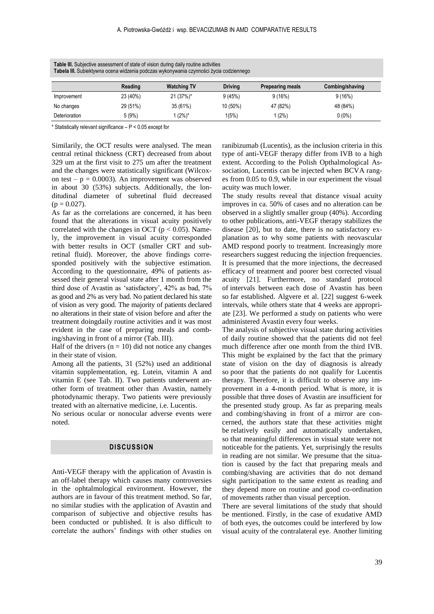| Tabela III. Subjektywna ocena widzenia podczas wykonywania czynności życia codziennego |          |                    |                |                         |                 |  |  |
|----------------------------------------------------------------------------------------|----------|--------------------|----------------|-------------------------|-----------------|--|--|
|                                                                                        | Reading  | <b>Watching TV</b> | <b>Driving</b> | <b>Prepearing meals</b> | Combing/shaving |  |  |
| Improvement                                                                            | 23 (40%) | 21 (37%)*          | 9(45%)         | 9(16%)                  | 9(16%)          |  |  |
| No changes                                                                             | 29 (51%) | 35 (61%)           | 10 (50%)       | 47 (82%)                | 48 (84%)        |  |  |
| Deterioration                                                                          | 5(9%)    | l (2%)*            | 1(5%)          | (2%)                    | $0(0\%)$        |  |  |

**Table III.** Subjective assessment of state of vision during daily routine activities **Tabela III.** Subiektywna ocena widzenia podczas wykonywania czynności życia codziennego

\* Statistically relevant significance  $- P < 0.05$  except for

Similarily, the OCT results were analysed. The mean central retinal thickness (CRT) decreased from about 329 um at the first visit to 275 um after the treatment and the changes were statistically significant (Wilcoxon test –  $p = 0.0003$ . An improvement was observed in about 30 (53%) subjects. Additionally, the londitudinal diameter of subretinal fluid decreased  $(p = 0.027)$ .

As far as the correlations are concerned, it has been found that the alterations in visual acuity positively correlated with the changes in OCT ( $p < 0.05$ ). Namely, the improvement in visual acuity corresponded with better results in OCT (smaller CRT and subretinal fluid). Moreover, the above findings corresponded positively with the subjective estimation. According to the questionnaire, 49% of patients assessed their general visual state after 1 month from the third dose of Avastin as 'satisfactory', 42% as bad, 7% as good and 2% as very bad. No patient declared his state of vision as very good. The majority of patients declared no alterations in their state of vision before and after the treatment doingdaily routine activities and it was most evident in the case of preparing meals and combing/shaving in front of a mirror (Tab. III).

Half of the drivers  $(n = 10)$  did not notice any changes in their state of vision.

Among all the patients, 31 (52%) used an additional vitamin supplementation, eg. Lutein, vitamin A and vitamin E (see Tab. II). Two patients underwent another form of treatment other than Avastin, namely photodynamic therapy. Two patients were previously treated with an alternative medicine, i.e. Lucentis.

No serious ocular or nonocular adverse events were noted.

# **DISCUSSION**

Anti-VEGF therapy with the application of Avastin is an off-label therapy which causes many controversies in the ophtalmological environment. However, the authors are in favour of this treatment method. So far, no similar studies with the application of Avastin and comparison of subjective and objective results has been conducted or published. It is also difficult to correlate the authors' findings with other studies on ranibizumab (Lucentis), as the inclusion criteria in this type of anti-VEGF therapy differ from IVB to a high extent. According to the Polish Opthalmological Association, Lucentis can be injected when BCVA ranges from 0.05 to 0.9, while in our experiment the visual acuity was much lower.

The study results reveal that distance visual acuity improves in ca. 50% of cases and no alteration can be observed in a slightly smaller group (40%). According to other publications, anti-VEGF therapy stabilizes the disease [20], but to date, there is no satisfactory explanation as to why some patients with neovascular AMD respond poorly to treatment. Increasingly more researchers suggest reducing the injection frequencies. It is presumed that the more injections, the decreased efficacy of treatment and poorer best corrected visual acuity [21]. Furthermore, no standard protocol of intervals between each dose of Avastin has been so far established. Algvere et al. [22] suggest 6-week intervals, while others state that 4 weeks are appropriate [23]. We performed a study on patients who were administered Avastin every four weeks.

The analysis of subjective visual state during activities of daily routine showed that the patients did not feel much difference after one month from the third IVB. This might be explained by the fact that the primary state of vision on the day of diagnosis is already so poor that the patients do not qualify for Lucentis therapy. Therefore, it is difficult to observe any improvement in a 4-month period. What is more, it is possible that three doses of Avastin are insufficient for the presented study group. As far as preparing meals and combing/shaving in front of a mirror are concerned, the authors state that these activities might be relatively easily and automatically undertaken, so that meaningful differences in visual state were not noticeable for the patients. Yet, surprisingly the results in reading are not similar. We presume that the situation is caused by the fact that preparing meals and combing/shaving are activities that do not demand sight participation to the same extent as reading and they depend more on routine and good co-ordination of movements rather than visual perception.

There are several limitations of the study that should be mentioned. Firstly, in the case of exudative AMD of both eyes, the outcomes could be interfered by low visual acuity of the contralateral eye. Another limiting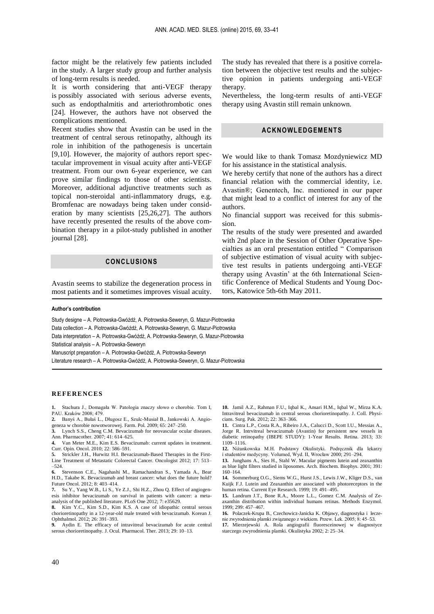factor might be the relatively few patients included in the study. A larger study group and further analysis of long-term results is needed.

It is worth considering that anti-VEGF therapy is possibly associated with serious adverse events, such as endopthalmitis and arteriothrombotic ones [24]. However, the authors have not observed the complications mentioned.

Recent studies show that Avastin can be used in the treatment of central serous retinopathy, although its role in inhibition of the pathogenesis is uncertain [9,10]. However, the majority of authors report spectacular improvement in visual acuity after anti-VEGF treatment. From our own 6-year experience, we can prove similar findings to those of other scientists. Moreover, additional adjunctive treatments such as topical non-steroidal anti-inflammatory drugs, e.g. Bromfenac are nowadays being taken under consideration by many scientists [25,26,27]. The authors have recently presented the results of the above combination therapy in a pilot-study published in another journal [28].

# **CONCLUSIONS**

Avastin seems to stabilize the degeneration process in most patients and it sometimes improves visual acuity.

#### **Author's contribution**

Study designe – A. Piotrowska-Gwóźdź, A. Piotrowska-Seweryn, G. Mazur-Piotrowska Data collection – A. Piotrowska-Gwóźdź, A. Piotrowska-Seweryn, G. Mazur-Piotrowska Data interpretation – A. Piotrowska-Gwóźdź, A. Piotrowska-Seweryn, G. Mazur-Piotrowska Statistical analysis – A. Piotrowska-Seweryn Manuscript preparation – A. Piotrowska-Gwóźdź, A. Piotrowska-Seweryn Literature research – A. Piotrowska-Gwóźdź, A. Piotrowska-Seweryn, G. Mazur-Piotrowska

#### **REFERENCES**

**1.** Stachura J., Domagała W. Patologia znaczy słowo o chorobie. Tom I, PAU. Kraków 2008; 479. **2.** Banyś A., Bułaś L., Długosz E., Szulc-Musiał B., Jankowski A. Angio-

geneza w chorobie nowotworowej. Farm. Pol. 2009; 65: 247–250.

Lynch S.S., Cheng C.M. Bevacizumab for neovascular ocular diseases. Ann. Pharmacother. 2007; 41: 614–625.

**4.** Van Meter M.E., Kim E.S. Bevacizumab: current updates in treatment. Curr. Opin. Oncol. 2010; 22: 586–591.

**5.** Strickler J.H., Hurwitz H.I. Bevacizumab-Based Therapies in the First-Line Treatment of Metastatic Colorectal Cancer. Oncologist 2012; 17: 513– –524.

**6.** Stevenson C.E., Nagahashi M., Ramachandran S., Yamada A., Bear H.D., Takabe K. Bevacizumab and breast cancer: what does the future hold? Future Oncol. 2012; 8: 403–414.

**7.** Su Y., Yang W.B., Li S., Ye Z.J., Shi H.Z., Zhou Q. Effect of angiogenesis inhibitor bevacizumab on survival in patients with cancer: a metaanalysis of the published literature. PLoS One 2012; 7: e35629.

**8.** Kim Y.C., Kim S.D., Kim K.S. A case of idiopathic central serous chorioretinopathy in a 12-year-old male treated with bevacizumab. Korean J. Ophthalmol. 2012; 26: 391–393.

**9.** Aydin E. The efficacy of intravitreal bevacizumab for acute central serous chorioretinopathy. J. Ocul. Pharmacol. Ther. 2013; 29: 10–13.

The study has revealed that there is a positive correlation between the objective test results and the subjective opinion in patients undergoing anti-VEGF therapy.

Nevertheless, the long-term results of anti-VEGF therapy using Avastin still remain unknown.

## **ACKNOWLEDGEMENTS**

We would like to thank Tomasz Mozdyniewicz MD for his assistance in the statistical analysis.

We hereby certify that none of the authors has a direct financial relation with the commercial identity, i.e. Avastin®; Genentech, Inc. mentioned in our paper that might lead to a conflict of interest for any of the authors.

No financial support was received for this submission.

The results of the study were presented and awarded with 2nd place in the Session of Other Operative Specialties as an oral presentation entitled " Comparison of subjective estimation of visual acuity with subjective test results in patients undergoing anti-VEGF therapy using Avastin' at the 6th International Scientific Conference of Medical Students and Young Doctors, Katowice 5th-6th May 2011.

**10.** Jamil A.Z., Rahman F.U., Iqbal K., Ansari H.M., Iqbal W., Mirza K.A. Intravitreal bevacizumab in central serous chorioretinopathy. J. Coll. Physicians. Surg. Pak. 2012; 22: 363–366.

**11.** Cintra L.P., Costa R.A., Ribeiro J.A., Calucci D., Scott I.U., Messias A., Jorge R. Intrvitreal bevacizumab (Avastin) for persistent new vessels in diabetic retinopathy (IBEPE STUDY): 1-Year Results. Retina. 2013; 33: 1109–1116.

**12.** Niżankowska M.H. Podstawy Okulistyki. Podręcznik dla lekarzy i studentów medycyny. Volumed, Wyd. II, Wrocław 2000; 291–294.

**13.** Junghans A., Sies H., Stahl W. Macular pigments lutein and zeaxanthin as blue light filters studied in liposomes. Arch. Biochem. Biophys. 2001; 391: 160–164.

**14.** Sommerburg O.G., Siems W.G., Hurst J.S., Lewis J.W., Kliger D.S., van Kuijk F.J. Lutein and Zeaxanthin are associated with photoreceptors in the human retina. Current Eye Research. 1999; 19: 491–495.

**15.** Landrum J.T., Bone R.A., Moore L.L., Gomez C.M. Analysis of Zeaxanthin distribution within individual humans retinas. Methods Enzymol. 1999; 299: 457–467.

**16.** Polaczek-Krupa B., Czechowicz-Janicka K. Objawy, diagnostyka i leczenie zwyrodnienia plamki związanego z wiekiem. Przew. Lek. 2005; 8: 45–53.

**17.** Mierzejewski A. Rola angiografii fluoresceinowej w diagnostyce starczego zwyrodnienia plamki. Okulistyka 2002; 2: 25–34.